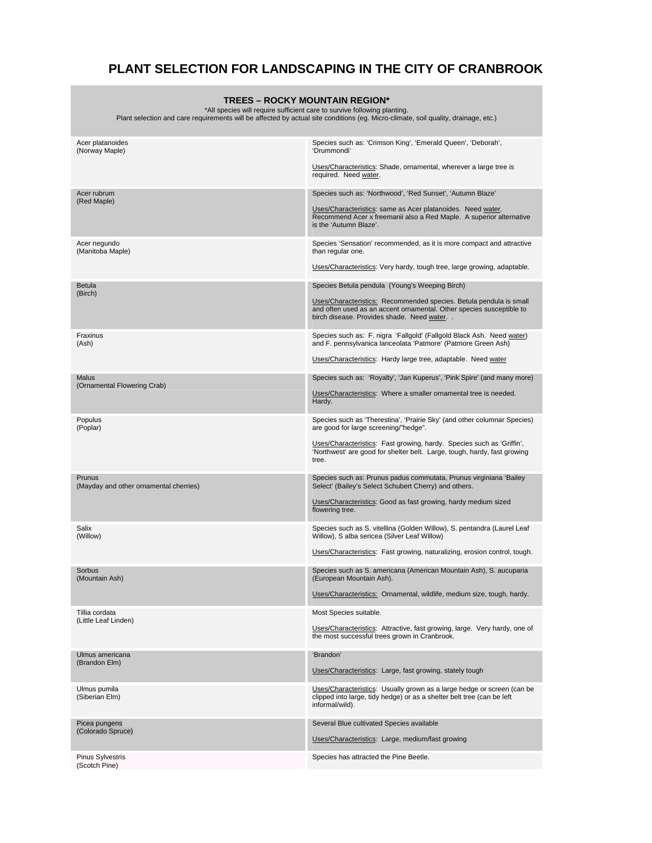## **PLANT SELECTION FOR LANDSCAPING IN THE CITY OF CRANBROOK**

| TREES – ROCKY MOUNTAIN REGION*<br>*All species will require sufficient care to survive following planting.<br>Plant selection and care requirements will be affected by actual site conditions (eq. Micro-climate, soil quality, drainage, etc.) |                                                                                                                                                                                         |
|--------------------------------------------------------------------------------------------------------------------------------------------------------------------------------------------------------------------------------------------------|-----------------------------------------------------------------------------------------------------------------------------------------------------------------------------------------|
| Acer platanoides                                                                                                                                                                                                                                 | Species such as: 'Crimson King', 'Emerald Queen', 'Deborah',                                                                                                                            |
| (Norway Maple)                                                                                                                                                                                                                                   | 'Drummondi'                                                                                                                                                                             |
|                                                                                                                                                                                                                                                  | Uses/Characteristics: Shade, ornamental, wherever a large tree is<br>required. Need water.                                                                                              |
| Acer rubrum<br>(Red Maple)                                                                                                                                                                                                                       | Species such as: 'Northwood', 'Red Sunset', 'Autumn Blaze'                                                                                                                              |
|                                                                                                                                                                                                                                                  | Uses/Characteristics: same as Acer platanoides. Need water.<br>Recommend Acer x freemanii also a Red Maple. A superior alternative<br>is the 'Autumn Blaze'.                            |
| Acer negundo<br>(Manitoba Maple)                                                                                                                                                                                                                 | Species 'Sensation' recommended, as it is more compact and attractive<br>than regular one.                                                                                              |
|                                                                                                                                                                                                                                                  | Uses/Characteristics: Very hardy, tough tree, large growing, adaptable.                                                                                                                 |
| <b>Betula</b><br>(Birch)                                                                                                                                                                                                                         | Species Betula pendula (Young's Weeping Birch)                                                                                                                                          |
|                                                                                                                                                                                                                                                  | Uses/Characteristics: Recommended species. Betula pendula is small<br>and often used as an accent ornamental. Other species susceptible to<br>birch disease. Provides shade. Need water |
| Fraxinus<br>(Ash)                                                                                                                                                                                                                                | Species such as: F. nigra 'Fallgold' (Fallgold Black Ash. Need water)<br>and F. pennsylvanica lanceolata 'Patmore' (Patmore Green Ash)                                                  |
|                                                                                                                                                                                                                                                  | Uses/Characteristics: Hardy large tree, adaptable. Need water                                                                                                                           |
| Malus                                                                                                                                                                                                                                            | Species such as: 'Royalty', 'Jan Kuperus', 'Pink Spire' (and many more)                                                                                                                 |
| (Ornamental Flowering Crab)                                                                                                                                                                                                                      | Uses/Characteristics: Where a smaller ornamental tree is needed.<br>Hardy.                                                                                                              |
| Populus<br>(Poplar)                                                                                                                                                                                                                              | Species such as 'Therestina', 'Prairie Sky' (and other columnar Species)<br>are good for large screening/"hedge".                                                                       |
|                                                                                                                                                                                                                                                  | Uses/Characteristics: Fast growing, hardy. Species such as 'Griffin',<br>'Northwest' are good for shelter belt. Large, tough, hardy, fast growing<br>tree.                              |
| Prunus<br>(Mayday and other ornamental cherries)                                                                                                                                                                                                 | Species such as: Prunus padus commutata, Prunus virginiana 'Bailey<br>Select' (Bailey's Select Schubert Cherry) and others.                                                             |
|                                                                                                                                                                                                                                                  | Uses/Characteristics: Good as fast growing, hardy medium sized<br>flowering tree.                                                                                                       |
| Salix<br>(Willow)                                                                                                                                                                                                                                | Species such as S. vitellina (Golden Willow), S. pentandra (Laurel Leaf<br>Willow), S alba sericea (Silver Leaf Willow)                                                                 |
|                                                                                                                                                                                                                                                  | Uses/Characteristics: Fast growing, naturalizing, erosion control, tough.                                                                                                               |
| Sorbus<br>(Mountain Ash)                                                                                                                                                                                                                         | Species such as S. americana (American Mountain Ash), S. aucuparia<br>(European Mountain Ash).                                                                                          |
|                                                                                                                                                                                                                                                  | Uses/Characteristics: Ornamental, wildlife, medium size, tough, hardy.                                                                                                                  |
| Tillia cordata<br>(Little Leaf Linden)                                                                                                                                                                                                           | Most Species suitable.                                                                                                                                                                  |
|                                                                                                                                                                                                                                                  | Uses/Characteristics: Attractive, fast growing, large. Very hardy, one of<br>the most successful trees grown in Cranbrook.                                                              |
| Ulmus americana<br>(Brandon Elm)                                                                                                                                                                                                                 | 'Brandon'                                                                                                                                                                               |
|                                                                                                                                                                                                                                                  | Uses/Characteristics: Large, fast growing, stately tough                                                                                                                                |
| Ulmus pumila<br>(Siberian Elm)                                                                                                                                                                                                                   | Uses/Characteristics: Usually grown as a large hedge or screen (can be<br>clipped into large, tidy hedge) or as a shelter belt tree (can be left<br>informal/wild).                     |
| Picea pungens<br>(Colorado Spruce)                                                                                                                                                                                                               | Several Blue cultivated Species available                                                                                                                                               |
|                                                                                                                                                                                                                                                  | Uses/Characteristics: Large, medium/fast growing                                                                                                                                        |
| <b>Pinus Sylvestris</b><br>(Scotch Pine)                                                                                                                                                                                                         | Species has attracted the Pine Beetle.                                                                                                                                                  |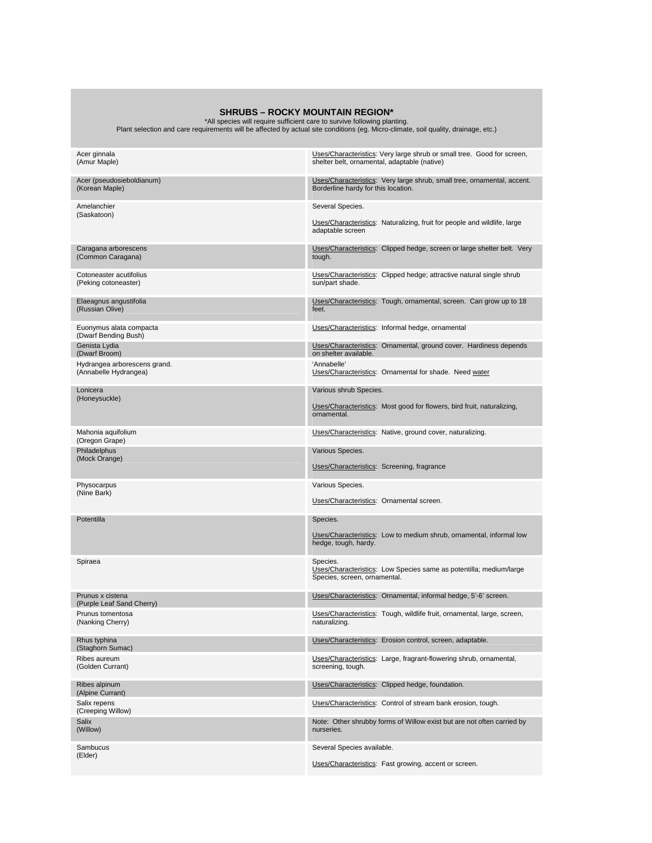**SHRUBS – ROCKY MOUNTAIN REGION\***<br>All species will require sufficient care to survive following planting.<br>Plant selection and care requirements will be affected by actual site conditions (eg. Micro-climate, soil quality, d

|                                                       | Uses/Characteristics: Very large shrub or small tree. Good for screen,                                         |
|-------------------------------------------------------|----------------------------------------------------------------------------------------------------------------|
| Acer ginnala<br>(Amur Maple)                          | shelter belt, ornamental, adaptable (native)                                                                   |
| Acer (pseudosieboldianum)<br>(Korean Maple)           | Uses/Characteristics: Very large shrub, small tree, ornamental, accent.<br>Borderline hardy for this location. |
| Amelanchier                                           | Several Species.                                                                                               |
| (Saskatoon)                                           | Uses/Characteristics: Naturalizing, fruit for people and wildlife, large<br>adaptable screen                   |
| Caragana arborescens<br>(Common Caragana)             | Uses/Characteristics: Clipped hedge, screen or large shelter belt. Very<br>tough.                              |
| Cotoneaster acutifolius<br>(Peking cotoneaster)       | Uses/Characteristics: Clipped hedge; attractive natural single shrub<br>sun/part shade.                        |
| Elaeagnus angustifolia<br>(Russian Olive)             | Uses/Characteristics: Tough, ornamental, screen. Can grow up to 18<br>feet.                                    |
| Euonymus alata compacta<br>(Dwarf Bending Bush)       | Uses/Characteristics: Informal hedge, ornamental                                                               |
| Genista Lydia<br>(Dwarf Broom)                        | Uses/Characteristics: Ornamental, ground cover. Hardiness depends<br>on shelter available.                     |
| Hydrangea arborescens grand.<br>(Annabelle Hydrangea) | 'Annabelle'<br>Uses/Characteristics: Ornamental for shade. Need water                                          |
| Lonicera                                              | Various shrub Species.                                                                                         |
| (Honeysuckle)                                         | Uses/Characteristics: Most good for flowers, bird fruit, naturalizing,<br>ornamental.                          |
| Mahonia aquifolium<br>(Oregon Grape)                  | Uses/Characteristics: Native, ground cover, naturalizing.                                                      |
| Philadelphus                                          | Various Species.                                                                                               |
| (Mock Orange)                                         | Uses/Characteristics: Screening, fragrance                                                                     |
| Physocarpus<br>(Nine Bark)                            | Various Species.                                                                                               |
|                                                       | Uses/Characteristics: Ornamental screen.                                                                       |
| Potentilla                                            | Species.                                                                                                       |
|                                                       | Uses/Characteristics: Low to medium shrub, ornamental, informal low<br>hedge, tough, hardy.                    |
| Spiraea                                               | Species.<br>Uses/Characteristics: Low Species same as potentilla; medium/large                                 |
|                                                       | Species, screen, ornamental.                                                                                   |
| Prunus x cistena<br>(Purple Leaf Sand Cherry)         | Uses/Characteristics: Ornamental, informal hedge, 5'-6' screen.                                                |
| Prunus tomentosa<br>(Nanking Cherry)                  | Uses/Characteristics: Tough, wildlife fruit, ornamental, large, screen,<br>naturalizing.                       |
| Rhus typhina<br>(Staghorn Sumac)                      | Uses/Characteristics: Erosion control, screen, adaptable.                                                      |
| Ribes aureum<br>(Golden Currant)                      | Uses/Characteristics: Large, fragrant-flowering shrub, ornamental,<br>screening, tough.                        |
| Ribes alpinum<br>(Alpine Currant)                     | Uses/Characteristics: Clipped hedge, foundation.                                                               |
| Salix repens<br>(Creeping Willow)                     | Uses/Characteristics: Control of stream bank erosion, tough.                                                   |
| Salix<br>(Willow)                                     | Note: Other shrubby forms of Willow exist but are not often carried by<br>nurseries.                           |
| Sambucus<br>(Elder)                                   | Several Species available.                                                                                     |
|                                                       | Uses/Characteristics: Fast growing, accent or screen.                                                          |